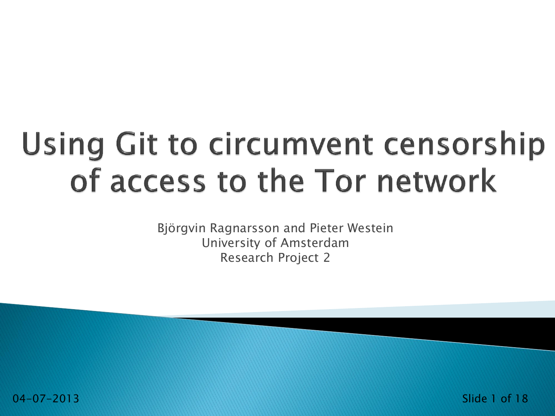### **Using Git to circumvent censorship** of access to the Tor network

Björgvin Ragnarsson and Pieter Westein University of Amsterdam Research Project 2

04-07-2013 Slide 1 of 18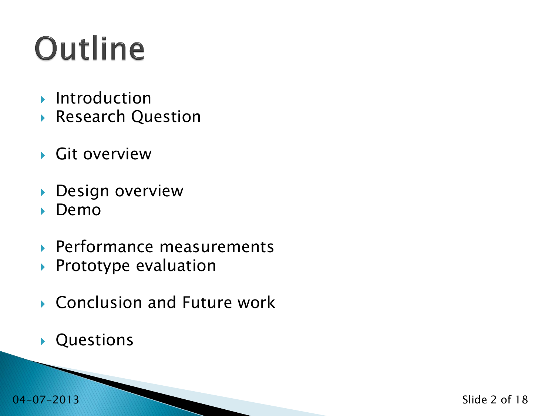# Outline

- **Introduction**
- ▶ Research Question
- Git overview
- **Design overview**
- Demo
- ▶ Performance measurements
- Prototype evaluation
- ▶ Conclusion and Future work
- Questions

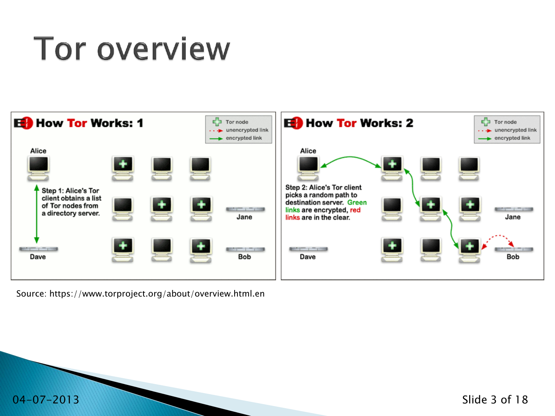### **Tor overview**



Source: https://www.torproject.org/about/overview.html.en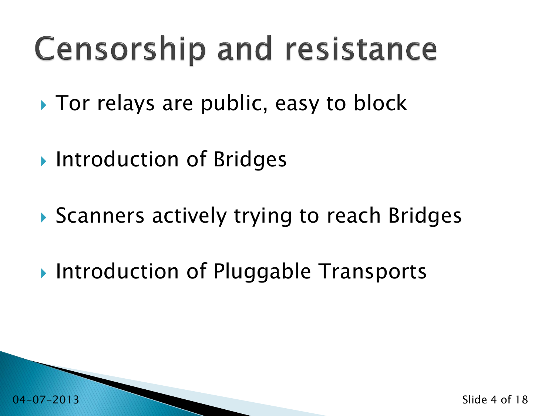### **Censorship and resistance**

- Tor relays are public, easy to block
- ▶ Introduction of Bridges
- ▶ Scanners actively trying to reach Bridges
- ▶ Introduction of Pluggable Transports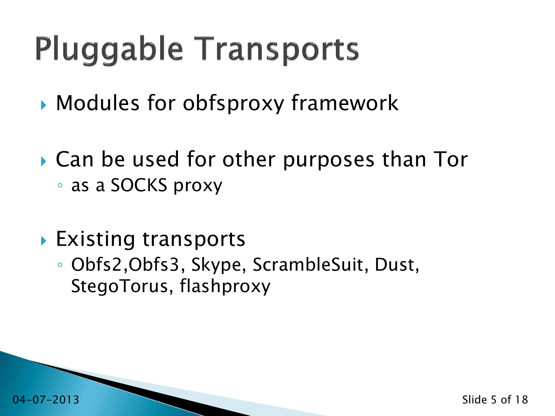# **Pluggable Transports**

- Modules for obfsproxy framework
- Can be used for other purposes than Tor ◦ as a SOCKS proxy
- ▶ Existing transports
	- Obfs2,Obfs3, Skype, ScrambleSuit, Dust, StegoTorus, flashproxy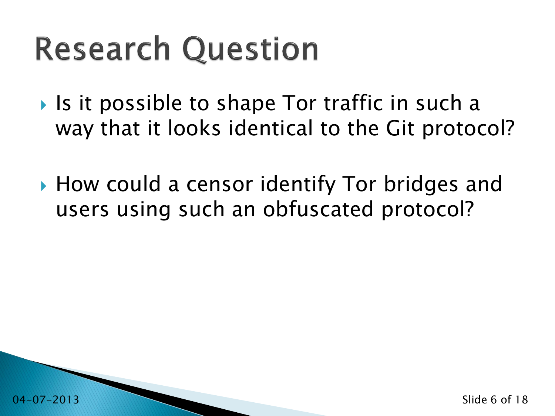## **Research Question**

- ▶ Is it possible to shape Tor traffic in such a way that it looks identical to the Git protocol?
- ▶ How could a censor identify Tor bridges and users using such an obfuscated protocol?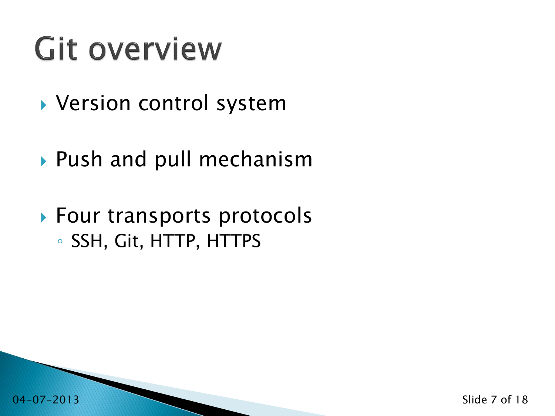## **Git overview**

- Version control system
- Push and pull mechanism
- ▶ Four transports protocols ◦ SSH, Git, HTTP, HTTPS

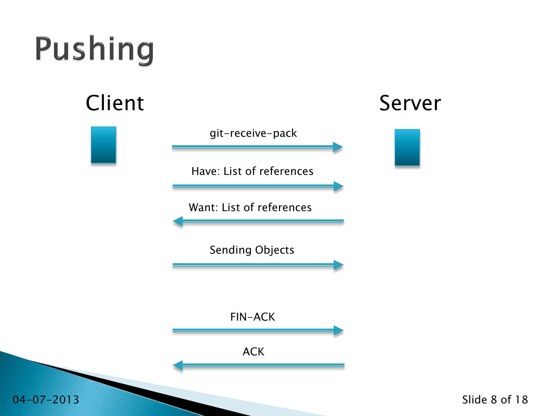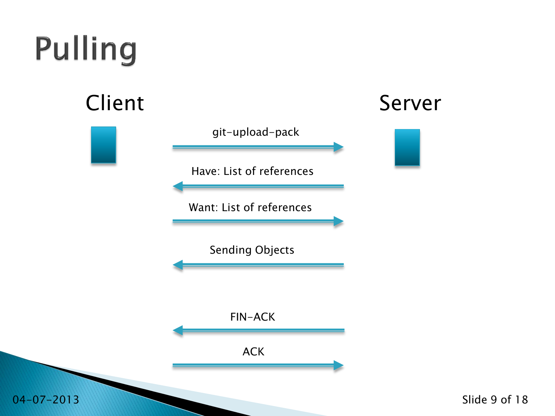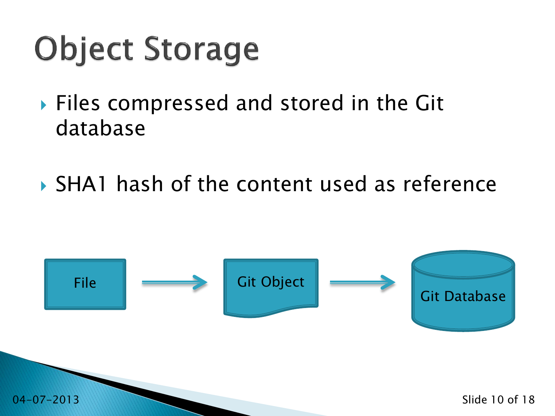# **Object Storage**

- ▶ Files compressed and stored in the Git database
- ▶ SHA1 hash of the content used as reference

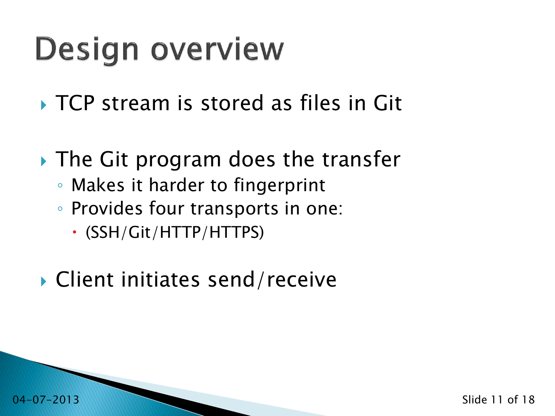### **Design overview**

▶ TCP stream is stored as files in Git

- ▶ The Git program does the transfer
	- Makes it harder to fingerprint
	- Provides four transports in one:
		- (SSH/Git/HTTP/HTTPS)
- ▶ Client initiates send/receive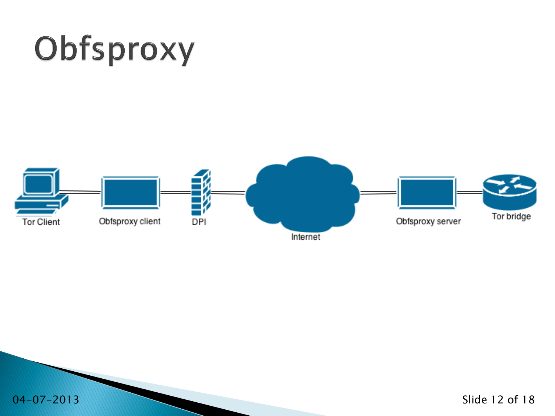

04-07-2013 Slide 12 of 18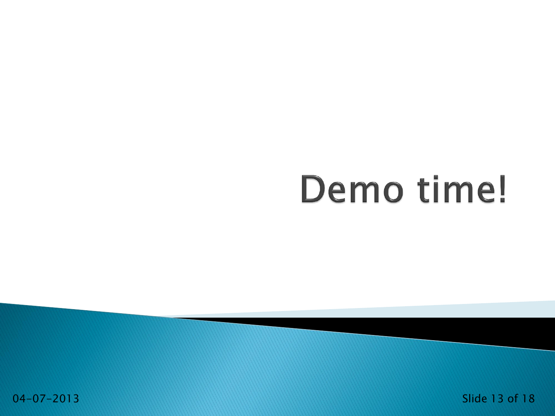# Demo time!

04-07-2013 Slide 13 of 18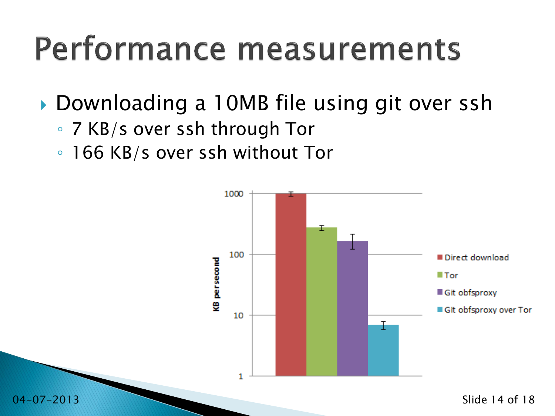### Performance measurements

### ▶ Downloading a 10MB file using git over ssh

- 7 KB/s over ssh through Tor
- 166 KB/s over ssh without Tor

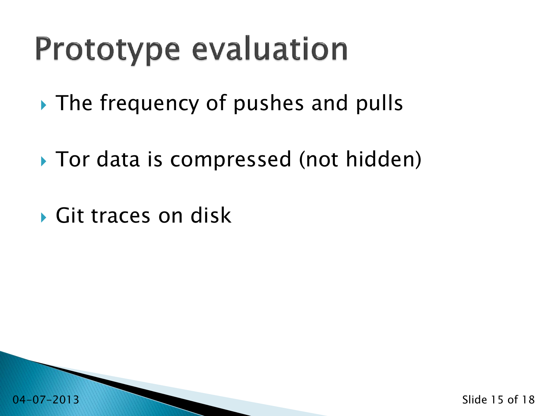### **Prototype evaluation**

- ▶ The frequency of pushes and pulls
- ▶ Tor data is compressed (not hidden)
- Git traces on disk

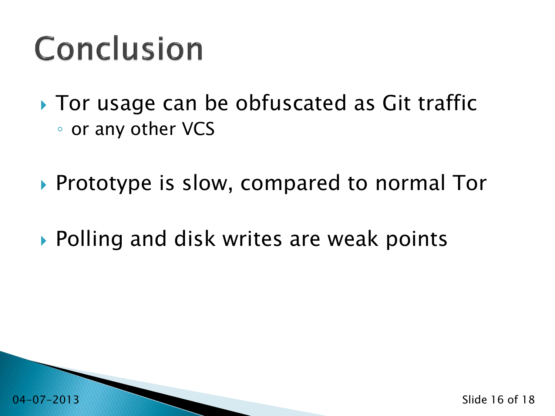### Conclusion

- ▶ Tor usage can be obfuscated as Git traffic ◦ or any other VCS
- ▶ Prototype is slow, compared to normal Tor
- ▶ Polling and disk writes are weak points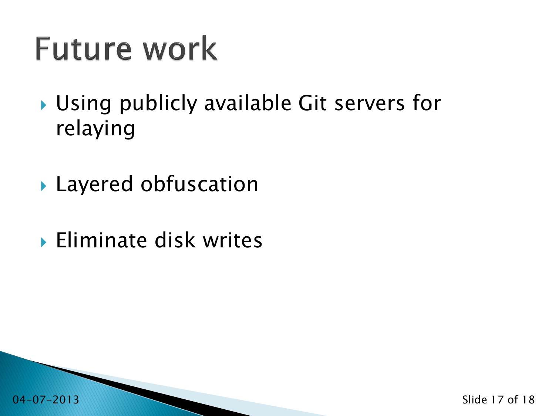### **Future work**

- Using publicly available Git servers for relaying
- Layered obfuscation
- ▶ Eliminate disk writes